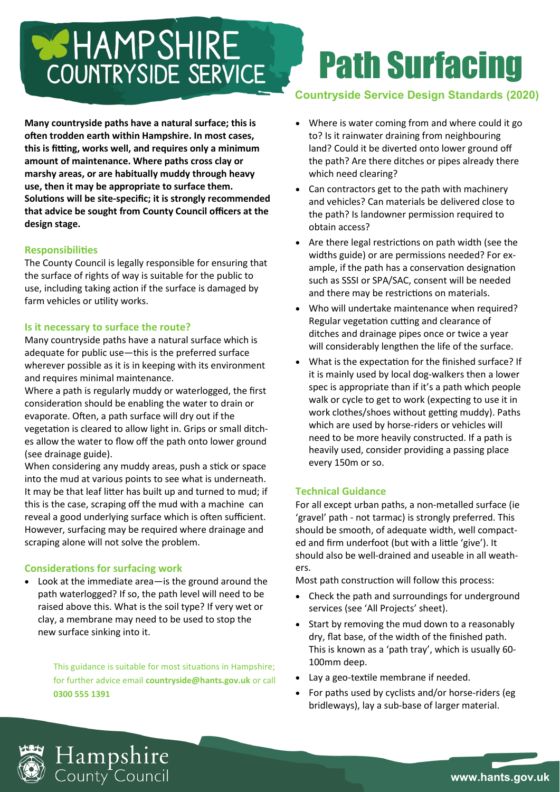# COUNTRYSIDE SERVICE

**Many countryside paths have a natural surface; this is often trodden earth within Hampshire. In most cases, this is fitting, works well, and requires only a minimum amount of maintenance. Where paths cross clay or marshy areas, or are habitually muddy through heavy use, then it may be appropriate to surface them. Solutions will be site-specific; it is strongly recommended that advice be sought from County Council officers at the design stage.**

# **Responsibilities**

The County Council is legally responsible for ensuring that the surface of rights of way is suitable for the public to use, including taking action if the surface is damaged by farm vehicles or utility works.

#### **Is it necessary to surface the route?**

Many countryside paths have a natural surface which is adequate for public use—this is the preferred surface wherever possible as it is in keeping with its environment and requires minimal maintenance.

Where a path is regularly muddy or waterlogged, the first consideration should be enabling the water to drain or evaporate. Often, a path surface will dry out if the vegetation is cleared to allow light in. Grips or small ditches allow the water to flow off the path onto lower ground (see drainage guide).

When considering any muddy areas, push a stick or space into the mud at various points to see what is underneath. It may be that leaf litter has built up and turned to mud; if this is the case, scraping off the mud with a machine can reveal a good underlying surface which is often sufficient. However, surfacing may be required where drainage and scraping alone will not solve the problem.

# **Considerations for surfacing work**

• Look at the immediate area—is the ground around the path waterlogged? If so, the path level will need to be raised above this. What is the soil type? If very wet or clay, a membrane may need to be used to stop the new surface sinking into it.

> This guidance is suitable for most situations in Hampshire; for further advice email **countryside@hants.gov.uk** or call **0300 555 1391**

# Path Surfacing

# **Countryside Service Design Standards (2020)**

- Where is water coming from and where could it go to? Is it rainwater draining from neighbouring land? Could it be diverted onto lower ground off the path? Are there ditches or pipes already there which need clearing?
- Can contractors get to the path with machinery and vehicles? Can materials be delivered close to the path? Is landowner permission required to obtain access?
- Are there legal restrictions on path width (see the widths guide) or are permissions needed? For example, if the path has a conservation designation such as SSSI or SPA/SAC, consent will be needed and there may be restrictions on materials.
- Who will undertake maintenance when required? Regular vegetation cutting and clearance of ditches and drainage pipes once or twice a year will considerably lengthen the life of the surface.
- What is the expectation for the finished surface? If it is mainly used by local dog-walkers then a lower spec is appropriate than if it's a path which people walk or cycle to get to work (expecting to use it in work clothes/shoes without getting muddy). Paths which are used by horse-riders or vehicles will need to be more heavily constructed. If a path is heavily used, consider providing a passing place every 150m or so.

# **Technical Guidance**

For all except urban paths, a non-metalled surface (ie 'gravel' path - not tarmac) is strongly preferred. This should be smooth, of adequate width, well compacted and firm underfoot (but with a little 'give'). It should also be well-drained and useable in all weathers.

Most path construction will follow this process:

- Check the path and surroundings for underground services (see 'All Projects' sheet).
- Start by removing the mud down to a reasonably dry, flat base, of the width of the finished path. This is known as a 'path tray', which is usually 60- 100mm deep.
- Lay a geo-textile membrane if needed.
- For paths used by cyclists and/or horse-riders (eg bridleways), lay a sub-base of larger material.